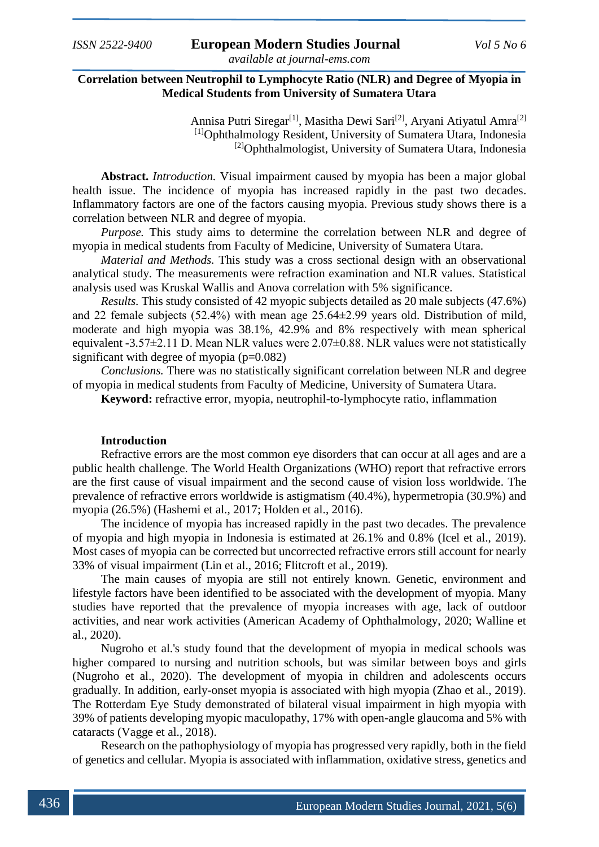# **Correlation between Neutrophil to Lymphocyte Ratio (NLR) and Degree of Myopia in Medical Students from University of Sumatera Utara**

Annisa Putri Siregar<sup>[1]</sup>, Masitha Dewi Sari<sup>[2]</sup>, Aryani Atiyatul Amra<sup>[2]</sup> [1]Ophthalmology Resident, University of Sumatera Utara, Indonesia [2]Ophthalmologist, University of Sumatera Utara, Indonesia

**Abstract.** *Introduction.* Visual impairment caused by myopia has been a major global health issue. The incidence of myopia has increased rapidly in the past two decades. Inflammatory factors are one of the factors causing myopia. Previous study shows there is a correlation between NLR and degree of myopia.

*Purpose*. This study aims to determine the correlation between NLR and degree of myopia in medical students from Faculty of Medicine, University of Sumatera Utara.

*Material and Methods.* This study was a cross sectional design with an observational analytical study. The measurements were refraction examination and NLR values. Statistical analysis used was Kruskal Wallis and Anova correlation with 5% significance.

*Results.* This study consisted of 42 myopic subjects detailed as 20 male subjects (47.6%) and 22 female subjects (52.4%) with mean age 25.64±2.99 years old. Distribution of mild, moderate and high myopia was 38.1%, 42.9% and 8% respectively with mean spherical equivalent -3.57±2.11 D. Mean NLR values were 2.07±0.88. NLR values were not statistically significant with degree of myopia  $(p=0.082)$ 

*Conclusions.* There was no statistically significant correlation between NLR and degree of myopia in medical students from Faculty of Medicine, University of Sumatera Utara.

**Keyword:** refractive error, myopia, neutrophil-to-lymphocyte ratio, inflammation

# **Introduction**

Refractive errors are the most common eye disorders that can occur at all ages and are a public health challenge. The World Health Organizations (WHO) report that refractive errors are the first cause of visual impairment and the second cause of vision loss worldwide. The prevalence of refractive errors worldwide is astigmatism (40.4%), hypermetropia (30.9%) and myopia (26.5%) (Hashemi et al., 2017; Holden et al., 2016).

The incidence of myopia has increased rapidly in the past two decades. The prevalence of myopia and high myopia in Indonesia is estimated at 26.1% and 0.8% (Icel et al., 2019). Most cases of myopia can be corrected but uncorrected refractive errors still account for nearly 33% of visual impairment (Lin et al., 2016; Flitcroft et al., 2019).

The main causes of myopia are still not entirely known. Genetic, environment and lifestyle factors have been identified to be associated with the development of myopia. Many studies have reported that the prevalence of myopia increases with age, lack of outdoor activities, and near work activities (American Academy of Ophthalmology, 2020; Walline et al., 2020).

Nugroho et al.'s study found that the development of myopia in medical schools was higher compared to nursing and nutrition schools, but was similar between boys and girls (Nugroho et al., 2020). The development of myopia in children and adolescents occurs gradually. In addition, early-onset myopia is associated with high myopia (Zhao et al., 2019). The Rotterdam Eye Study demonstrated of bilateral visual impairment in high myopia with 39% of patients developing myopic maculopathy, 17% with open-angle glaucoma and 5% with cataracts (Vagge et al., 2018).

Research on the pathophysiology of myopia has progressed very rapidly, both in the field of genetics and cellular. Myopia is associated with inflammation, oxidative stress, genetics and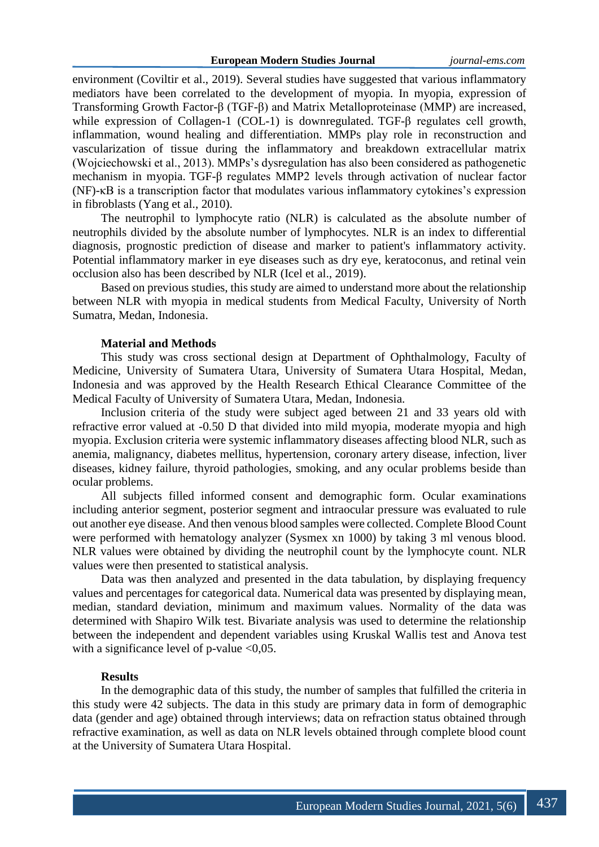environment (Coviltir et al., 2019). Several studies have suggested that various inflammatory mediators have been correlated to the development of myopia. In myopia, expression of Transforming Growth Factor-β (TGF-β) and Matrix Metalloproteinase (MMP) are increased, while expression of Collagen-1 (COL-1) is downregulated. TGF-β regulates cell growth, inflammation, wound healing and differentiation. MMPs play role in reconstruction and vascularization of tissue during the inflammatory and breakdown extracellular matrix (Wojciechowski et al., 2013). MMPs's dysregulation has also been considered as pathogenetic mechanism in myopia. TGF-β regulates MMP2 levels through activation of nuclear factor (NF)-κB is a transcription factor that modulates various inflammatory cytokines's expression in fibroblasts (Yang et al., 2010).

The neutrophil to lymphocyte ratio (NLR) is calculated as the absolute number of neutrophils divided by the absolute number of lymphocytes. NLR is an index to differential diagnosis, prognostic prediction of disease and marker to patient's inflammatory activity. Potential inflammatory marker in eye diseases such as dry eye, keratoconus, and retinal vein occlusion also has been described by NLR (Icel et al., 2019).

Based on previous studies, this study are aimed to understand more about the relationship between NLR with myopia in medical students from Medical Faculty, University of North Sumatra, Medan, Indonesia.

### **Material and Methods**

This study was cross sectional design at Department of Ophthalmology, Faculty of Medicine, University of Sumatera Utara, University of Sumatera Utara Hospital, Medan, Indonesia and was approved by the Health Research Ethical Clearance Committee of the Medical Faculty of University of Sumatera Utara, Medan, Indonesia.

Inclusion criteria of the study were subject aged between 21 and 33 years old with refractive error valued at -0.50 D that divided into mild myopia, moderate myopia and high myopia. Exclusion criteria were systemic inflammatory diseases affecting blood NLR, such as anemia, malignancy, diabetes mellitus, hypertension, coronary artery disease, infection, liver diseases, kidney failure, thyroid pathologies, smoking, and any ocular problems beside than ocular problems.

All subjects filled informed consent and demographic form. Ocular examinations including anterior segment, posterior segment and intraocular pressure was evaluated to rule out another eye disease. And then venous blood samples were collected. Complete Blood Count were performed with hematology analyzer (Sysmex xn 1000) by taking 3 ml venous blood. NLR values were obtained by dividing the neutrophil count by the lymphocyte count. NLR values were then presented to statistical analysis.

Data was then analyzed and presented in the data tabulation, by displaying frequency values and percentages for categorical data. Numerical data was presented by displaying mean, median, standard deviation, minimum and maximum values. Normality of the data was determined with Shapiro Wilk test. Bivariate analysis was used to determine the relationship between the independent and dependent variables using Kruskal Wallis test and Anova test with a significance level of p-value  $\langle 0.05$ .

## **Results**

In the demographic data of this study, the number of samples that fulfilled the criteria in this study were 42 subjects. The data in this study are primary data in form of demographic data (gender and age) obtained through interviews; data on refraction status obtained through refractive examination, as well as data on NLR levels obtained through complete blood count at the University of Sumatera Utara Hospital.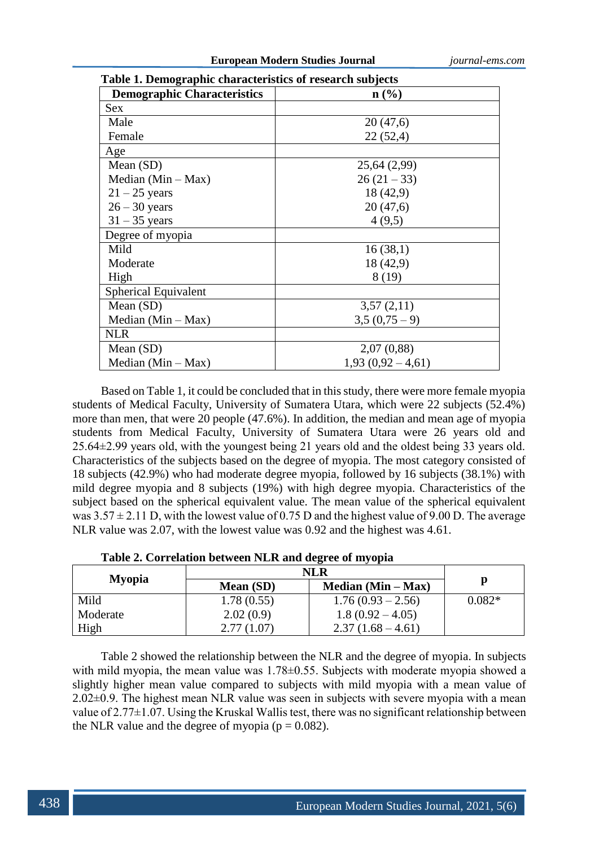| Table 1. Demographic enaracteristics of research subjects |                             |  |  |  |  |
|-----------------------------------------------------------|-----------------------------|--|--|--|--|
| <b>Demographic Characteristics</b>                        | $n\left(\frac{0}{0}\right)$ |  |  |  |  |
| Sex                                                       |                             |  |  |  |  |
| Male                                                      | 20(47,6)                    |  |  |  |  |
| Female                                                    | 22(52,4)                    |  |  |  |  |
| Age                                                       |                             |  |  |  |  |
| Mean $(SD)$                                               | 25,64 (2,99)                |  |  |  |  |
| Median $(Min - Max)$                                      | $26(21-33)$                 |  |  |  |  |
| $21 - 25$ years                                           | 18 (42,9)                   |  |  |  |  |
| $26 - 30$ years                                           | 20(47,6)                    |  |  |  |  |
| $31 - 35$ years                                           | 4(9,5)                      |  |  |  |  |
| Degree of myopia                                          |                             |  |  |  |  |
| Mild                                                      | 16(38,1)                    |  |  |  |  |
| Moderate                                                  | 18 (42,9)                   |  |  |  |  |
| High                                                      | 8 (19)                      |  |  |  |  |
| Spherical Equivalent                                      |                             |  |  |  |  |
| Mean $(SD)$                                               | 3,57(2,11)                  |  |  |  |  |
| Median $(Min - Max)$                                      | $3,5(0,75-9)$               |  |  |  |  |
| <b>NLR</b>                                                |                             |  |  |  |  |
| Mean $(SD)$                                               | 2,07(0,88)                  |  |  |  |  |
| Median $(Min - Max)$                                      | $1,93(0,92-4,61)$           |  |  |  |  |

**Table 1. Demographic characteristics of research subjects**

Based on Table 1, it could be concluded that in this study, there were more female myopia students of Medical Faculty, University of Sumatera Utara, which were 22 subjects (52.4%) more than men, that were 20 people (47.6%). In addition, the median and mean age of myopia students from Medical Faculty, University of Sumatera Utara were 26 years old and 25.64±2.99 years old, with the youngest being 21 years old and the oldest being 33 years old. Characteristics of the subjects based on the degree of myopia. The most category consisted of 18 subjects (42.9%) who had moderate degree myopia, followed by 16 subjects (38.1%) with mild degree myopia and 8 subjects (19%) with high degree myopia. Characteristics of the subject based on the spherical equivalent value. The mean value of the spherical equivalent was  $3.57 \pm 2.11$  D, with the lowest value of 0.75 D and the highest value of 9.00 D. The average NLR value was 2.07, with the lowest value was 0.92 and the highest was 4.61.

| <b>Myopia</b> |            |                      |          |  |
|---------------|------------|----------------------|----------|--|
|               | Mean (SD)  | Median $(Min - Max)$ | p        |  |
| Mild          | 1.78(0.55) | $1.76(0.93 - 2.56)$  | $0.082*$ |  |
| Moderate      | 2.02(0.9)  | $1.8(0.92 - 4.05)$   |          |  |
| High          | 2.77(1.07) | $2.37(1.68-4.61)$    |          |  |

| Table 2. Correlation between NLR and degree of myopia |  |  |  |
|-------------------------------------------------------|--|--|--|
|                                                       |  |  |  |

Table 2 showed the relationship between the NLR and the degree of myopia. In subjects with mild myopia, the mean value was 1.78 $\pm$ 0.55. Subjects with moderate myopia showed a slightly higher mean value compared to subjects with mild myopia with a mean value of 2.02±0.9. The highest mean NLR value was seen in subjects with severe myopia with a mean value of 2.77±1.07. Using the Kruskal Wallis test, there was no significant relationship between the NLR value and the degree of myopia ( $p = 0.082$ ).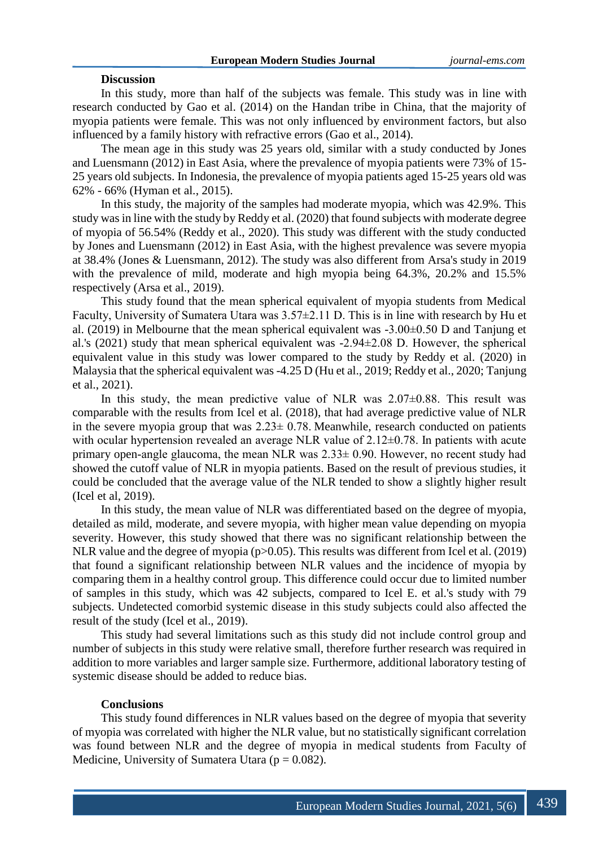### **Discussion**

In this study, more than half of the subjects was female. This study was in line with research conducted by Gao et al. (2014) on the Handan tribe in China, that the majority of myopia patients were female. This was not only influenced by environment factors, but also influenced by a family history with refractive errors (Gao et al., 2014).

The mean age in this study was 25 years old, similar with a study conducted by Jones and Luensmann (2012) in East Asia, where the prevalence of myopia patients were 73% of 15- 25 years old subjects. In Indonesia, the prevalence of myopia patients aged 15-25 years old was 62% - 66% (Hyman et al., 2015).

In this study, the majority of the samples had moderate myopia, which was 42.9%. This study was in line with the study by Reddy et al. (2020) that found subjects with moderate degree of myopia of 56.54% (Reddy et al., 2020). This study was different with the study conducted by Jones and Luensmann (2012) in East Asia, with the highest prevalence was severe myopia at 38.4% (Jones & Luensmann, 2012). The study was also different from Arsa's study in 2019 with the prevalence of mild, moderate and high myopia being 64.3%, 20.2% and 15.5% respectively (Arsa et al., 2019).

This study found that the mean spherical equivalent of myopia students from Medical Faculty, University of Sumatera Utara was 3.57±2.11 D. This is in line with research by Hu et al. (2019) in Melbourne that the mean spherical equivalent was -3.00±0.50 D and Tanjung et al.'s (2021) study that mean spherical equivalent was -2.94±2.08 D. However, the spherical equivalent value in this study was lower compared to the study by Reddy et al. (2020) in Malaysia that the spherical equivalent was -4.25 D (Hu et al., 2019; Reddy et al., 2020; Tanjung et al., 2021).

In this study, the mean predictive value of NLR was  $2.07\pm0.88$ . This result was comparable with the results from Icel et al. (2018), that had average predictive value of NLR in the severe myopia group that was  $2.23 \pm 0.78$ . Meanwhile, research conducted on patients with ocular hypertension revealed an average NLR value of  $2.12\pm0.78$ . In patients with acute primary open-angle glaucoma, the mean NLR was 2.33± 0.90. However, no recent study had showed the cutoff value of NLR in myopia patients. Based on the result of previous studies, it could be concluded that the average value of the NLR tended to show a slightly higher result (Icel et al, 2019).

In this study, the mean value of NLR was differentiated based on the degree of myopia, detailed as mild, moderate, and severe myopia, with higher mean value depending on myopia severity. However, this study showed that there was no significant relationship between the NLR value and the degree of myopia (p>0.05). This results was different from Icel et al. (2019) that found a significant relationship between NLR values and the incidence of myopia by comparing them in a healthy control group. This difference could occur due to limited number of samples in this study, which was 42 subjects, compared to Icel E. et al.'s study with 79 subjects. Undetected comorbid systemic disease in this study subjects could also affected the result of the study (Icel et al., 2019).

This study had several limitations such as this study did not include control group and number of subjects in this study were relative small, therefore further research was required in addition to more variables and larger sample size. Furthermore, additional laboratory testing of systemic disease should be added to reduce bias.

### **Conclusions**

This study found differences in NLR values based on the degree of myopia that severity of myopia was correlated with higher the NLR value, but no statistically significant correlation was found between NLR and the degree of myopia in medical students from Faculty of Medicine, University of Sumatera Utara ( $p = 0.082$ ).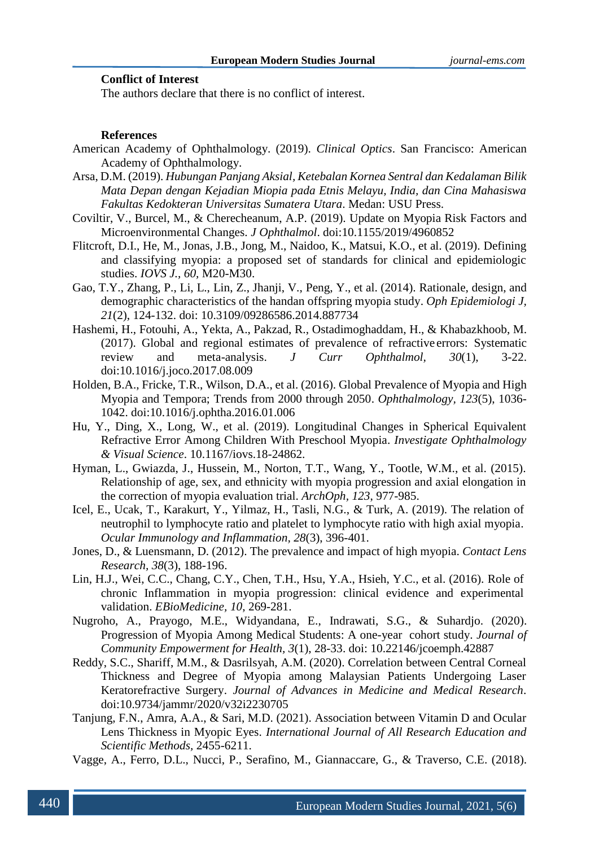# **Conflict of Interest**

The authors declare that there is no conflict of interest.

#### **References**

- American Academy of Ophthalmology. (2019). *Clinical Optics*. San Francisco: American Academy of Ophthalmology.
- Arsa, D.M. (2019). *Hubungan Panjang Aksial, Ketebalan Kornea Sentral dan Kedalaman Bilik Mata Depan dengan Kejadian Miopia pada Etnis Melayu, India, dan Cina Mahasiswa Fakultas Kedokteran Universitas Sumatera Utara*. Medan: USU Press.
- Coviltir, V., Burcel, M., & Cherecheanum, A.P. (2019). Update on Myopia Risk Factors and Microenvironmental Changes. *J Ophthalmol*. doi:10.1155/2019/4960852
- Flitcroft, D.I., He, M., Jonas, J.B., Jong, M., Naidoo, K., Matsui, K.O., et al. (2019). Defining and classifying myopia: a proposed set of standards for clinical and epidemiologic studies. *IOVS J., 60,* M20-M30.
- Gao, T.Y., Zhang, P., Li, L., Lin, Z., Jhanji, V., Peng, Y., et al. (2014). Rationale, design, and demographic characteristics of the handan offspring myopia study. *Oph Epidemiologi J, 21*(2), 124-132. doi: 10.3109/09286586.2014.887734
- Hashemi, H., Fotouhi, A., Yekta, A., Pakzad, R., Ostadimoghaddam, H., & Khabazkhoob, M. (2017). Global and regional estimates of prevalence of refractive errors: Systematic review and meta-analysis. *J Curr Ophthalmol, 30*(1), 3-22. doi:10.1016/j.joco.2017.08.009
- Holden, B.A., Fricke, T.R., Wilson, D.A., et al. (2016). Global Prevalence of Myopia and High Myopia and Tempora; Trends from 2000 through 2050. *Ophthalmology, 123*(5), 1036- 1042. doi:10.1016/j.ophtha.2016.01.006
- Hu, Y., Ding, X., Long, W., et al. (2019). Longitudinal Changes in Spherical Equivalent Refractive Error Among Children With Preschool Myopia. *Investigate Ophthalmology & Visual Science*. [10.1167/iovs.18-24862.](https://doi.org/10.1167/iovs.18-24862)
- Hyman, L., Gwiazda, J., Hussein, M., Norton, T.T., Wang, Y., Tootle, W.M., et al. (2015). Relationship of age, sex, and ethnicity with myopia progression and axial elongation in the correction of myopia evaluation trial. *ArchOph, 123*, 977-985.
- Icel, E., Ucak, T., Karakurt, Y., Yilmaz, H., Tasli, N.G., & Turk, A. (2019). The relation of neutrophil to lymphocyte ratio and platelet to lymphocyte ratio with high axial myopia. *Ocular Immunology and Inflammation, 28*(3), 396-401.
- Jones, D., & Luensmann, D. (2012). The prevalence and impact of high myopia. *Contact Lens Research, 38*(3), 188-196.
- Lin, H.J., Wei, C.C., Chang, C.Y., Chen, T.H., Hsu, Y.A., Hsieh, Y.C., et al. (2016). Role of chronic Inflammation in myopia progression: clinical evidence and experimental validation. *EBioMedicine, 10*, 269-281.
- Nugroho, A., Prayogo, M.E., Widyandana, E., Indrawati, S.G., & Suhardjo. (2020). Progression of Myopia Among Medical Students: A one-year cohort study. *Journal of Community Empowerment for Health, 3*(1), 28-33. doi: 10.22146/jcoemph.42887
- Reddy, S.C., Shariff, M.M., & Dasrilsyah, A.M. (2020). Correlation between Central Corneal Thickness and Degree of Myopia among Malaysian Patients Undergoing Laser Keratorefractive Surgery. *Journal of Advances in Medicine and Medical Research*. doi[:10.9734/jammr/2020/v32i2230705](https://doi.org/10.9734/jammr/2020/v32i2230705)
- Tanjung, F.N., Amra, A.A., & Sari, M.D. (2021). Association between Vitamin D and Ocular Lens Thickness in Myopic Eyes. *International Journal of All Research Education and Scientific Methods,* 2455-6211.
- Vagge, A., Ferro, D.L., Nucci, P., Serafino, M., Giannaccare, G., & Traverso, C.E. (2018).